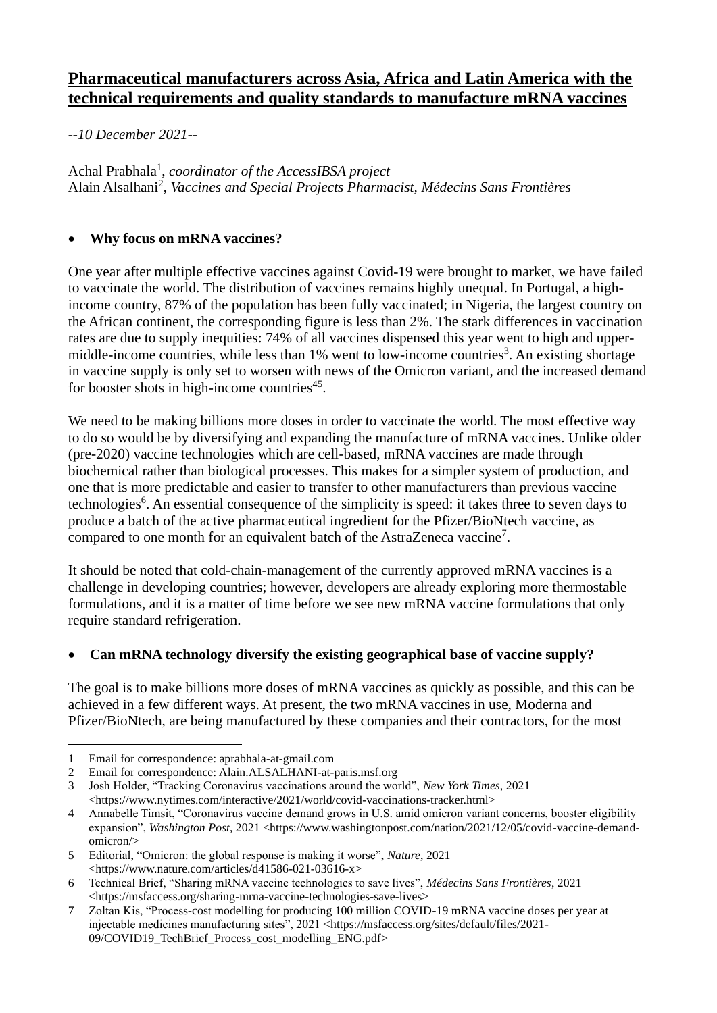# **Pharmaceutical manufacturers across Asia, Africa and Latin America with the technical requirements and quality standards to manufacture mRNA vaccines**

*--10 December 2021--*

Achal Prabhala<sup>1</sup>, *coordinator of the* **AccessIBSA** project Alain Alsalhani<sup>2</sup> , *Vaccines and Special Projects Pharmacist, [Médecins Sans Frontières](https://msfaccess.org/)*

## • **Why focus on mRNA vaccines?**

One year after multiple effective vaccines against Covid-19 were brought to market, we have failed to vaccinate the world. The distribution of vaccines remains highly unequal. In Portugal, a highincome country, 87% of the population has been fully vaccinated; in Nigeria, the largest country on the African continent, the corresponding figure is less than 2%. The stark differences in vaccination rates are due to supply inequities: 74% of all vaccines dispensed this year went to high and uppermiddle-income countries, while less than 1% went to low-income countries<sup>3</sup>. An existing shortage in vaccine supply is only set to worsen with news of the Omicron variant, and the increased demand for booster shots in high-income countries<sup>45</sup>.

We need to be making billions more doses in order to vaccinate the world. The most effective way to do so would be by diversifying and expanding the manufacture of mRNA vaccines. Unlike older (pre-2020) vaccine technologies which are cell-based, mRNA vaccines are made through biochemical rather than biological processes. This makes for a simpler system of production, and one that is more predictable and easier to transfer to other manufacturers than previous vaccine technologies<sup>6</sup>. An essential consequence of the simplicity is speed: it takes three to seven days to produce a batch of the active pharmaceutical ingredient for the Pfizer/BioNtech vaccine, as compared to one month for an equivalent batch of the AstraZeneca vaccine<sup>7</sup>.

It should be noted that cold-chain-management of the currently approved mRNA vaccines is a challenge in developing countries; however, developers are already exploring more thermostable formulations, and it is a matter of time before we see new mRNA vaccine formulations that only require standard refrigeration.

## • **Can mRNA technology diversify the existing geographical base of vaccine supply?**

The goal is to make billions more doses of mRNA vaccines as quickly as possible, and this can be achieved in a few different ways. At present, the two mRNA vaccines in use, Moderna and Pfizer/BioNtech, are being manufactured by these companies and their contractors, for the most

<sup>1</sup> Email for correspondence: aprabhala-at-gmail.com

<sup>2</sup> Email for correspondence: Alain.ALSALHANI-at-paris.msf.org

<sup>3</sup> Josh Holder, "Tracking Coronavirus vaccinations around the world", *New York Times*, 2021 [<https://www.nytimes.com/interactive/2021/world/covid-vaccinations-tracker.html>](https://www.nytimes.com/interactive/2021/world/covid-vaccinations-tracker.html)

<sup>4</sup> Annabelle Timsit, "Coronavirus vaccine demand grows in U.S. amid omicron variant concerns, booster eligibility expansion", *Washington Post*, 2021 [<https://www.washingtonpost.com/nation/2021/12/05/covid-vaccine-demand](https://www.washingtonpost.com/nation/2021/12/05/covid-vaccine-demand-omicron/)[omicron/>](https://www.washingtonpost.com/nation/2021/12/05/covid-vaccine-demand-omicron/)

<sup>5</sup> Editorial, "Omicron: the global response is making it worse", *Nature*, 2021 [<https://www.nature.com/articles/d41586-021-03616-x>](https://www.nature.com/articles/d41586-021-03616-x)

<sup>6</sup> Technical Brief, "Sharing mRNA vaccine technologies to save lives", *Médecins Sans Frontières*, 2021 [<https://msfaccess.org/sharing-mrna-vaccine-technologies-save-lives>](https://msfaccess.org/sharing-mrna-vaccine-technologies-save-lives)

<sup>7</sup> Zoltan Kis, "Process-cost modelling for producing 100 million COVID-19 mRNA vaccine doses per year at injectable medicines manufacturing sites", 2021 [<https://msfaccess.org/sites/default/files/2021-](https://msfaccess.org/sites/default/files/2021-09/COVID19_TechBrief_Process_cost_modelling_ENG.pdf) 09/COVID19 TechBrief Process cost modelling ENG.pdf>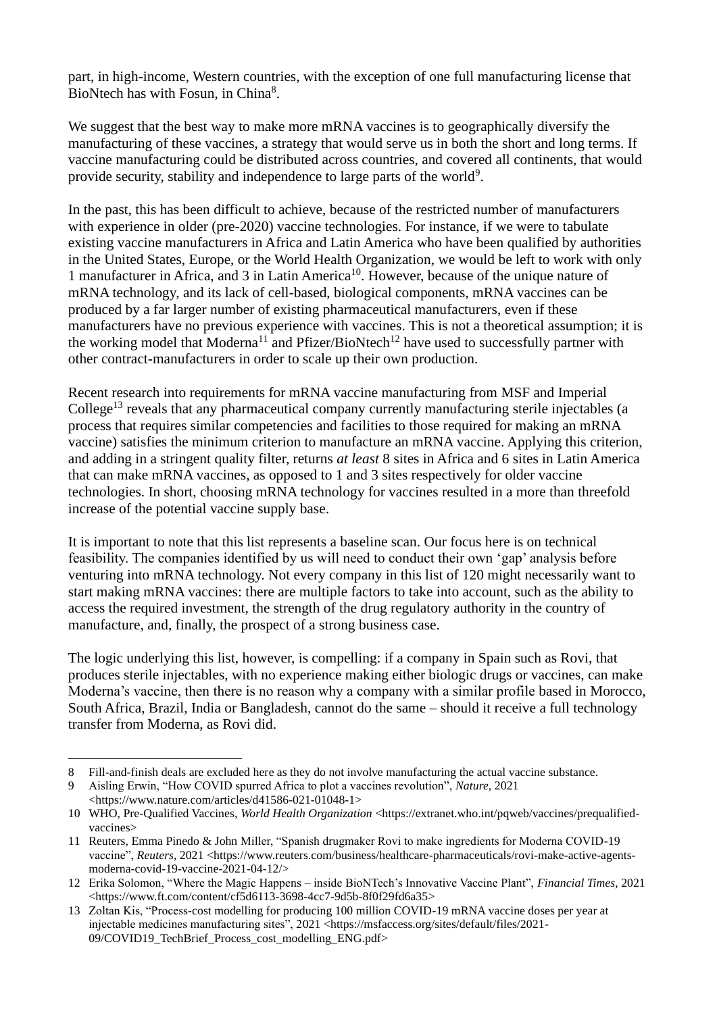part, in high-income, Western countries, with the exception of one full manufacturing license that BioNtech has with Fosun, in China<sup>8</sup>.

We suggest that the best way to make more mRNA vaccines is to geographically diversify the manufacturing of these vaccines, a strategy that would serve us in both the short and long terms. If vaccine manufacturing could be distributed across countries, and covered all continents, that would provide security, stability and independence to large parts of the world<sup>9</sup>.

In the past, this has been difficult to achieve, because of the restricted number of manufacturers with experience in older (pre-2020) vaccine technologies. For instance, if we were to tabulate existing vaccine manufacturers in Africa and Latin America who have been qualified by authorities in the United States, Europe, or the World Health Organization, we would be left to work with only 1 manufacturer in Africa, and 3 in Latin America<sup>10</sup>. However, because of the unique nature of mRNA technology, and its lack of cell-based, biological components, mRNA vaccines can be produced by a far larger number of existing pharmaceutical manufacturers, even if these manufacturers have no previous experience with vaccines. This is not a theoretical assumption; it is the working model that  $Moderna^{11}$  and Pfizer/BioNtech<sup>12</sup> have used to successfully partner with other contract-manufacturers in order to scale up their own production.

Recent research into requirements for mRNA vaccine manufacturing from MSF and Imperial College<sup>13</sup> reveals that any pharmaceutical company currently manufacturing sterile injectables (a process that requires similar competencies and facilities to those required for making an mRNA vaccine) satisfies the minimum criterion to manufacture an mRNA vaccine. Applying this criterion, and adding in a stringent quality filter, returns *at least* 8 sites in Africa and 6 sites in Latin America that can make mRNA vaccines, as opposed to 1 and 3 sites respectively for older vaccine technologies. In short, choosing mRNA technology for vaccines resulted in a more than threefold increase of the potential vaccine supply base.

It is important to note that this list represents a baseline scan. Our focus here is on technical feasibility. The companies identified by us will need to conduct their own 'gap' analysis before venturing into mRNA technology. Not every company in this list of 120 might necessarily want to start making mRNA vaccines: there are multiple factors to take into account, such as the ability to access the required investment, the strength of the drug regulatory authority in the country of manufacture, and, finally, the prospect of a strong business case.

The logic underlying this list, however, is compelling: if a company in Spain such as Rovi, that produces sterile injectables, with no experience making either biologic drugs or vaccines, can make Moderna's vaccine, then there is no reason why a company with a similar profile based in Morocco, South Africa, Brazil, India or Bangladesh, cannot do the same – should it receive a full technology transfer from Moderna, as Rovi did.

<sup>8</sup> Fill-and-finish deals are excluded here as they do not involve manufacturing the actual vaccine substance.

<sup>9</sup> Aisling Erwin, "How COVID spurred Africa to plot a vaccines revolution", *Nature*, 2021 [<https://www.nature.com/articles/d41586-021-01048-1>](https://www.nature.com/articles/d41586-021-01048-1)

<sup>10</sup> WHO, Pre-Qualified Vaccines, *World Health Organization* [<https://extranet.who.int/pqweb/vaccines/prequalified](https://extranet.who.int/pqweb/vaccines/prequalified-vaccines)[vaccines>](https://extranet.who.int/pqweb/vaccines/prequalified-vaccines)

<sup>11</sup> Reuters, Emma Pinedo & John Miller, "Spanish drugmaker Rovi to make ingredients for Moderna COVID-19 vaccine", *Reuters*, 2021 [<https://www.reuters.com/business/healthcare-pharmaceuticals/rovi-make-active-agents](https://www.reuters.com/business/healthcare-pharmaceuticals/rovi-make-active-agents-moderna-covid-19-vaccine-2021-04-12/)[moderna-covid-19-vaccine-2021-04-12/>](https://www.reuters.com/business/healthcare-pharmaceuticals/rovi-make-active-agents-moderna-covid-19-vaccine-2021-04-12/)

<sup>12</sup> Erika Solomon, "Where the Magic Happens – inside BioNTech's Innovative Vaccine Plant", *Financial Times*, 2021 [<https://www.ft.com/content/cf5d6113-3698-4cc7-9d5b-8f0f29fd6a35>](https://www.ft.com/content/cf5d6113-3698-4cc7-9d5b-8f0f29fd6a35)

<sup>13</sup> Zoltan Kis, "Process-cost modelling for producing 100 million COVID-19 mRNA vaccine doses per year at injectable medicines manufacturing sites", 2021 [<https://msfaccess.org/sites/default/files/2021-](https://msfaccess.org/sites/default/files/2021-09/COVID19_TechBrief_Process_cost_modelling_ENG.pdf) 09/COVID19 TechBrief Process cost modelling ENG.pdf>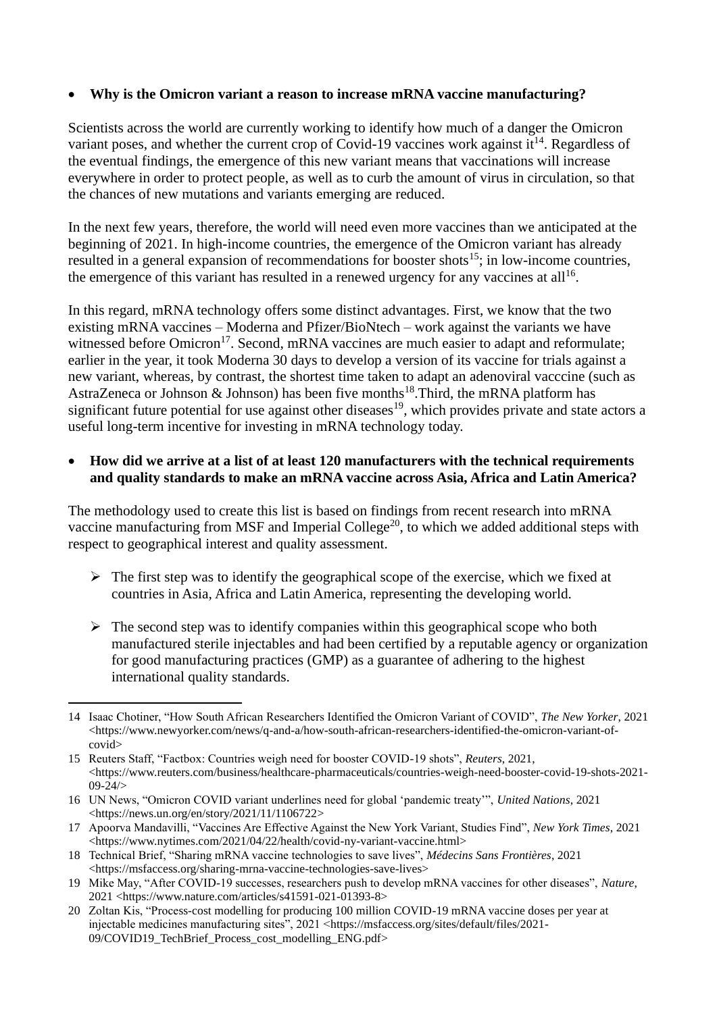#### • **Why is the Omicron variant a reason to increase mRNA vaccine manufacturing?**

Scientists across the world are currently working to identify how much of a danger the Omicron variant poses, and whether the current crop of Covid-19 vaccines work against  $it^{14}$ . Regardless of the eventual findings, the emergence of this new variant means that vaccinations will increase everywhere in order to protect people, as well as to curb the amount of virus in circulation, so that the chances of new mutations and variants emerging are reduced.

In the next few years, therefore, the world will need even more vaccines than we anticipated at the beginning of 2021. In high-income countries, the emergence of the Omicron variant has already resulted in a general expansion of recommendations for booster shots<sup>15</sup>; in low-income countries, the emergence of this variant has resulted in a renewed urgency for any vaccines at all<sup>16</sup>.

In this regard, mRNA technology offers some distinct advantages. First, we know that the two existing mRNA vaccines – Moderna and Pfizer/BioNtech – work against the variants we have witnessed before  $O<sub>micron</sub><sup>17</sup>$ . Second, mRNA vaccines are much easier to adapt and reformulate; earlier in the year, it took Moderna 30 days to develop a version of its vaccine for trials against a new variant, whereas, by contrast, the shortest time taken to adapt an adenoviral vacccine (such as AstraZeneca or Johnson & Johnson) has been five months<sup>18</sup>. Third, the mRNA platform has significant future potential for use against other diseases<sup>19</sup>, which provides private and state actors a useful long-term incentive for investing in mRNA technology today.

## • **How did we arrive at a list of at least 120 manufacturers with the technical requirements and quality standards to make an mRNA vaccine across Asia, Africa and Latin America?**

The methodology used to create this list is based on findings from recent research into mRNA vaccine manufacturing from MSF and Imperial College<sup>20</sup>, to which we added additional steps with respect to geographical interest and quality assessment.

- $\triangleright$  The first step was to identify the geographical scope of the exercise, which we fixed at countries in Asia, Africa and Latin America, representing the developing world.
- $\triangleright$  The second step was to identify companies within this geographical scope who both manufactured sterile injectables and had been certified by a reputable agency or organization for good manufacturing practices (GMP) as a guarantee of adhering to the highest international quality standards.

<sup>14</sup> Isaac Chotiner, "How South African Researchers Identified the Omicron Variant of COVID", *The New Yorker*, 2021 [<https://www.newyorker.com/news/q-and-a/how-south-african-researchers-identified-the-omicron-variant-of](https://www.newyorker.com/news/q-and-a/how-south-african-researchers-identified-the-omicron-variant-of-covid)[covid>](https://www.newyorker.com/news/q-and-a/how-south-african-researchers-identified-the-omicron-variant-of-covid)

<sup>15</sup> Reuters Staff, "Factbox: Countries weigh need for booster COVID-19 shots", *Reuters*, 2021,  $\lt$ https://www.reuters.com/business/healthcare-pharmaceuticals/countries-weigh-need-booster-covid-19-shots-2021- $09 - 24$ 

<sup>16</sup> UN News, "Omicron COVID variant underlines need for global 'pandemic treaty'", *United Nations*, 2021 [<https://news.un.org/en/story/2021/11/1106722>](https://news.un.org/en/story/2021/11/1106722)

<sup>17</sup> Apoorva Mandavilli, "Vaccines Are Effective Against the New York Variant, Studies Find", *New York Times*, 2021 [<https://www.nytimes.com/2021/04/22/health/covid-ny-variant-vaccine.html>](https://www.nytimes.com/2021/04/22/health/covid-ny-variant-vaccine.html)

<sup>18</sup> Technical Brief, "Sharing mRNA vaccine technologies to save lives", *Médecins Sans Frontières*, 2021 [<https://msfaccess.org/sharing-mrna-vaccine-technologies-save-lives>](https://msfaccess.org/sharing-mrna-vaccine-technologies-save-lives)

<sup>19</sup> Mike May, "After COVID-19 successes, researchers push to develop mRNA vaccines for other diseases", *Nature*, 2021 [<https://www.nature.com/articles/s41591-021-01393-8>](https://www.nature.com/articles/s41591-021-01393-8)

<sup>20</sup> Zoltan Kis, "Process-cost modelling for producing 100 million COVID-19 mRNA vaccine doses per year at injectable medicines manufacturing sites", 2021 [<https://msfaccess.org/sites/default/files/2021-](https://msfaccess.org/sites/default/files/2021-09/COVID19_TechBrief_Process_cost_modelling_ENG.pdf) [09/COVID19\\_TechBrief\\_Process\\_cost\\_modelling\\_ENG.pdf>](https://msfaccess.org/sites/default/files/2021-09/COVID19_TechBrief_Process_cost_modelling_ENG.pdf)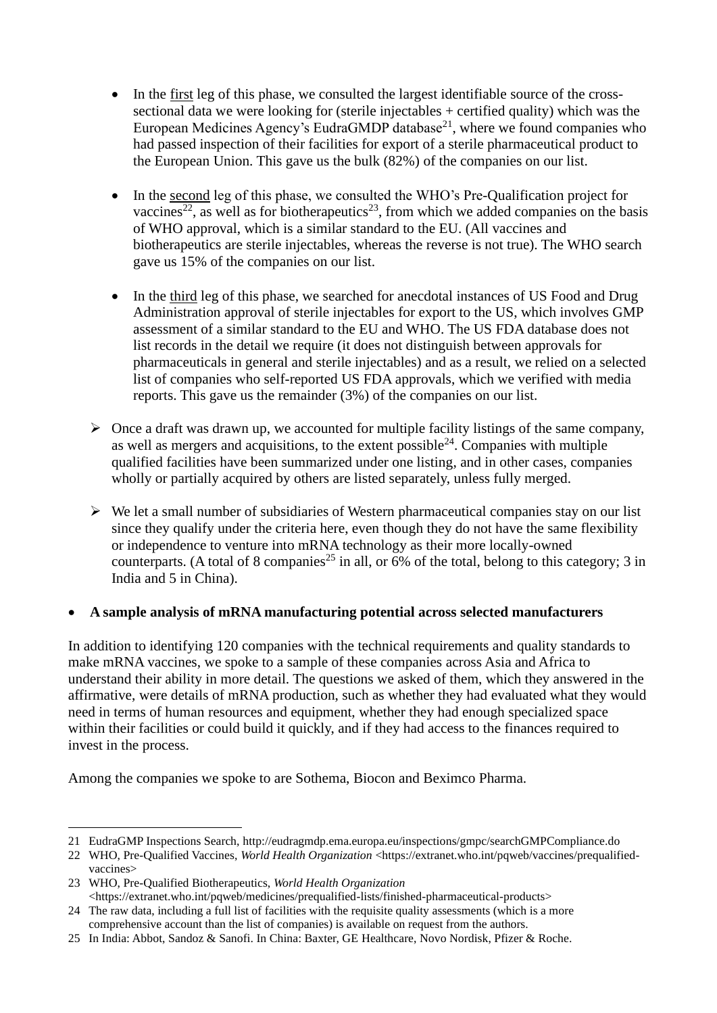- In the first leg of this phase, we consulted the largest identifiable source of the crosssectional data we were looking for (sterile injectables + certified quality) which was the European Medicines Agency's EudraGMDP database<sup>21</sup>, where we found companies who had passed inspection of their facilities for export of a sterile pharmaceutical product to the European Union. This gave us the bulk (82%) of the companies on our list.
- In the second leg of this phase, we consulted the WHO's Pre-Qualification project for vaccines<sup>22</sup>, as well as for biotherapeutics<sup>23</sup>, from which we added companies on the basis of WHO approval, which is a similar standard to the EU. (All vaccines and biotherapeutics are sterile injectables, whereas the reverse is not true). The WHO search gave us 15% of the companies on our list.
- In the third leg of this phase, we searched for anecdotal instances of US Food and Drug Administration approval of sterile injectables for export to the US, which involves GMP assessment of a similar standard to the EU and WHO. The US FDA database does not list records in the detail we require (it does not distinguish between approvals for pharmaceuticals in general and sterile injectables) and as a result, we relied on a selected list of companies who self-reported US FDA approvals, which we verified with media reports. This gave us the remainder (3%) of the companies on our list.
- $\triangleright$  Once a draft was drawn up, we accounted for multiple facility listings of the same company, as well as mergers and acquisitions, to the extent possible  $24$ . Companies with multiple qualified facilities have been summarized under one listing, and in other cases, companies wholly or partially acquired by others are listed separately, unless fully merged.
- $\triangleright$  We let a small number of subsidiaries of Western pharmaceutical companies stay on our list since they qualify under the criteria here, even though they do not have the same flexibility or independence to venture into mRNA technology as their more locally-owned counterparts. (A total of 8 companies<sup>25</sup> in all, or  $\frac{6}{9}$  of the total, belong to this category; 3 in India and 5 in China).

# • **A sample analysis of mRNA manufacturing potential across selected manufacturers**

In addition to identifying 120 companies with the technical requirements and quality standards to make mRNA vaccines, we spoke to a sample of these companies across Asia and Africa to understand their ability in more detail. The questions we asked of them, which they answered in the affirmative, were details of mRNA production, such as whether they had evaluated what they would need in terms of human resources and equipment, whether they had enough specialized space within their facilities or could build it quickly, and if they had access to the finances required to invest in the process.

Among the companies we spoke to are Sothema, Biocon and Beximco Pharma.

<sup>21</sup> EudraGMP Inspections Search[, http://eudragmdp.ema.europa.eu/inspections/gmpc/searchGMPCompliance.do](http://eudragmdp.ema.europa.eu/inspections/gmpc/searchGMPCompliance.do)

<sup>22</sup> WHO, Pre-Qualified Vaccines, *World Health Organization* [<https://extranet.who.int/pqweb/vaccines/prequalified](https://extranet.who.int/pqweb/vaccines/prequalified-vaccines)[vaccines>](https://extranet.who.int/pqweb/vaccines/prequalified-vaccines)

<sup>23</sup> WHO, Pre-Qualified Biotherapeutics, *World Health Organization* [<https://extranet.who.int/pqweb/medicines/prequalified-lists/finished-pharmaceutical-products>](https://extranet.who.int/pqweb/medicines/prequalified-lists/finished-pharmaceutical-products)

<sup>24</sup> The raw data, including a full list of facilities with the requisite quality assessments (which is a more comprehensive account than the list of companies) is available on request from the authors.

<sup>25</sup> In India: Abbot, Sandoz & Sanofi. In China: Baxter, GE Healthcare, Novo Nordisk, Pfizer & Roche.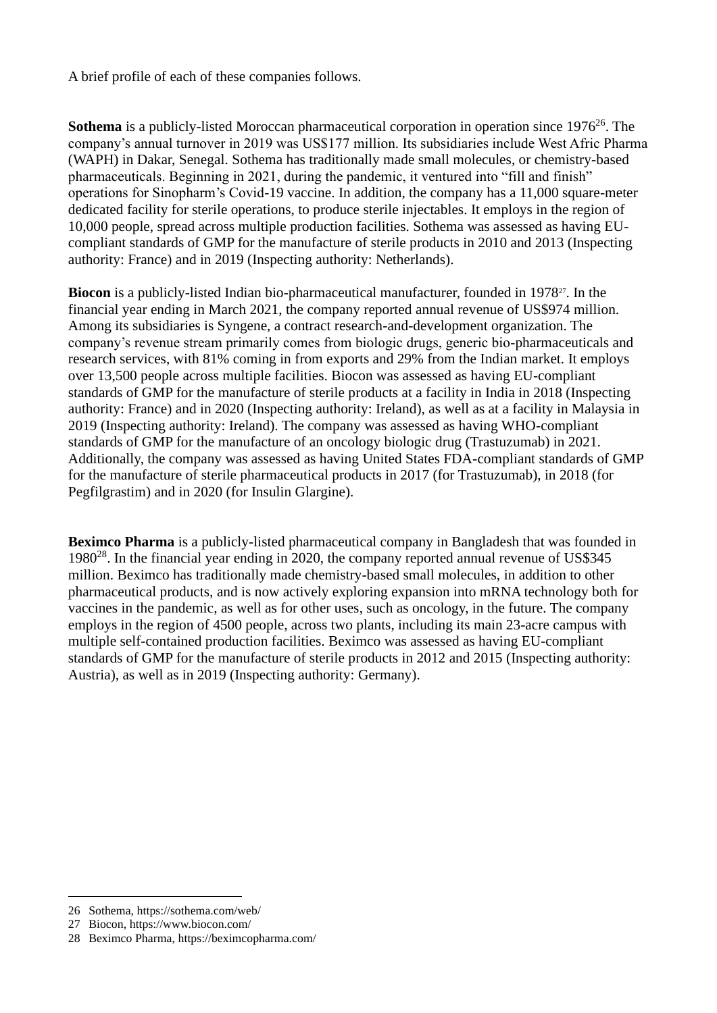A brief profile of each of these companies follows.

**Sothema** is a publicly-listed Moroccan pharmaceutical corporation in operation since 1976<sup>26</sup>. The company's annual turnover in 2019 was US\$177 million. Its subsidiaries include West Afric Pharma (WAPH) in Dakar, Senegal. Sothema has traditionally made small molecules, or chemistry-based pharmaceuticals. Beginning in 2021, during the pandemic, it ventured into "fill and finish" operations for Sinopharm's Covid-19 vaccine. In addition, the company has a 11,000 square-meter dedicated facility for sterile operations, to produce sterile injectables. It employs in the region of 10,000 people, spread across multiple production facilities. Sothema was assessed as having EUcompliant standards of GMP for the manufacture of sterile products in 2010 and 2013 (Inspecting authority: France) and in 2019 (Inspecting authority: Netherlands).

**Biocon** is a publicly-listed Indian bio-pharmaceutical manufacturer, founded in 1978<sup>27</sup>. In the financial year ending in March 2021, the company reported annual revenue of US\$974 million. Among its subsidiaries is Syngene, a contract research-and-development organization. The company's revenue stream primarily comes from biologic drugs, generic bio-pharmaceuticals and research services, with 81% coming in from exports and 29% from the Indian market. It employs over 13,500 people across multiple facilities. Biocon was assessed as having EU-compliant standards of GMP for the manufacture of sterile products at a facility in India in 2018 (Inspecting authority: France) and in 2020 (Inspecting authority: Ireland), as well as at a facility in Malaysia in 2019 (Inspecting authority: Ireland). The company was assessed as having WHO-compliant standards of GMP for the manufacture of an oncology biologic drug (Trastuzumab) in 2021. Additionally, the company was assessed as having United States FDA-compliant standards of GMP for the manufacture of sterile pharmaceutical products in 2017 (for Trastuzumab), in 2018 (for Pegfilgrastim) and in 2020 (for Insulin Glargine).

**Beximco Pharma** is a publicly-listed pharmaceutical company in Bangladesh that was founded in 1980<sup>28</sup>. In the financial year ending in 2020, the company reported annual revenue of US\$345 million. Beximco has traditionally made chemistry-based small molecules, in addition to other pharmaceutical products, and is now actively exploring expansion into mRNA technology both for vaccines in the pandemic, as well as for other uses, such as oncology, in the future. The company employs in the region of 4500 people, across two plants, including its main 23-acre campus with multiple self-contained production facilities. Beximco was assessed as having EU-compliant standards of GMP for the manufacture of sterile products in 2012 and 2015 (Inspecting authority: Austria), as well as in 2019 (Inspecting authority: Germany).

<sup>26</sup> Sothema[, https://sothema.com/web/](https://sothema.com/web/)

<sup>27</sup> Biocon[, https://www.biocon.com/](https://www.biocon.com/)

<sup>28</sup> Beximco Pharma,<https://beximcopharma.com/>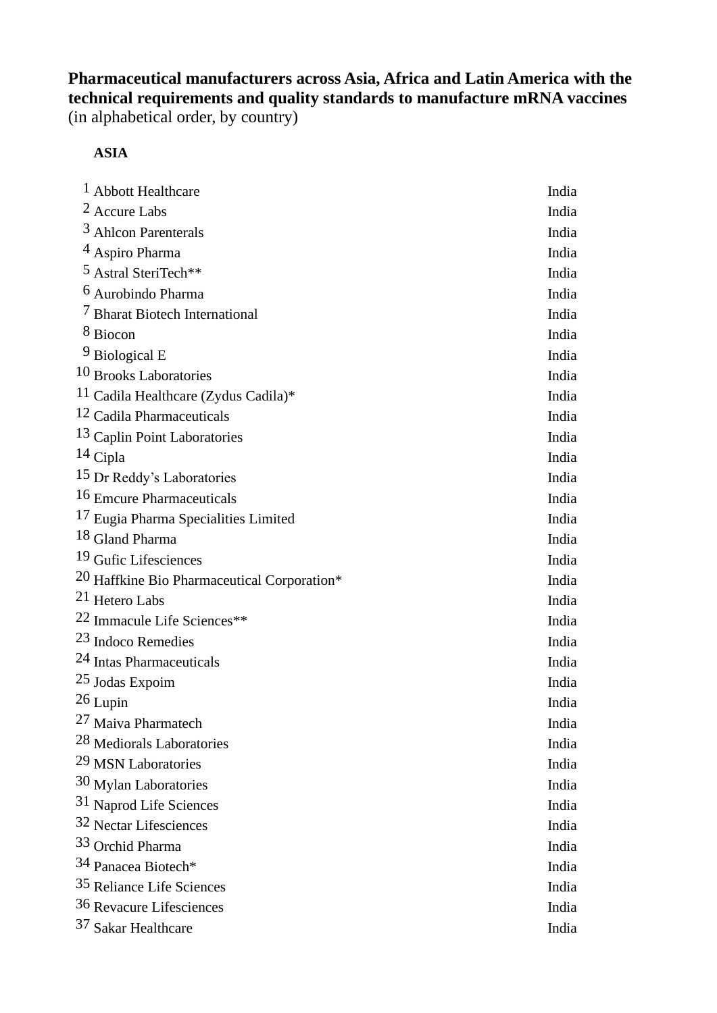**Pharmaceutical manufacturers across Asia, Africa and Latin America with the technical requirements and quality standards to manufacture mRNA vaccines**  (in alphabetical order, by country)

**ASIA**

| <sup>1</sup> Abbott Healthcare                         | India |
|--------------------------------------------------------|-------|
| <sup>2</sup> Accure Labs                               | India |
| <sup>3</sup> Ahlcon Parenterals                        | India |
| <sup>4</sup> Aspiro Pharma                             | India |
| <sup>5</sup> Astral SteriTech**                        | India |
| <sup>6</sup> Aurobindo Pharma                          | India |
| <sup>7</sup> Bharat Biotech International              | India |
| <sup>8</sup> Biocon                                    | India |
| <sup>9</sup> Biological E                              | India |
| 10 Brooks Laboratories                                 | India |
| <sup>11</sup> Cadila Healthcare (Zydus Cadila)*        | India |
| 12 Cadila Pharmaceuticals                              | India |
| <sup>13</sup> Caplin Point Laboratories                | India |
| 14 Cipla                                               | India |
| 15 Dr Reddy's Laboratories                             | India |
| 16 Emcure Pharmaceuticals                              | India |
| 17 Eugia Pharma Specialities Limited                   | India |
| 18 Gland Pharma                                        | India |
| <sup>19</sup> Gufic Lifesciences                       | India |
| <sup>20</sup> Haffkine Bio Pharmaceutical Corporation* | India |
| 21 Hetero Labs                                         | India |
| <sup>22</sup> Immacule Life Sciences**                 | India |
| 23 Indoco Remedies                                     | India |
| 24 Intas Pharmaceuticals                               | India |
| 25 Jodas Expoim                                        | India |
| 26 Lupin                                               | India |
| 27 Maiva Pharmatech                                    | India |
| <sup>28</sup> Mediorals Laboratories                   | India |
| 29 MSN Laboratories                                    | India |
| 30 Mylan Laboratories                                  | India |
| 31 Naprod Life Sciences                                | India |
| 32 Nectar Lifesciences                                 | India |
| 33 Orchid Pharma                                       | India |
| 34 Panacea Biotech <sup>*</sup>                        | India |
| 35 Reliance Life Sciences                              | India |
| 36 Revacure Lifesciences                               | India |
| 37 Sakar Healthcare                                    | India |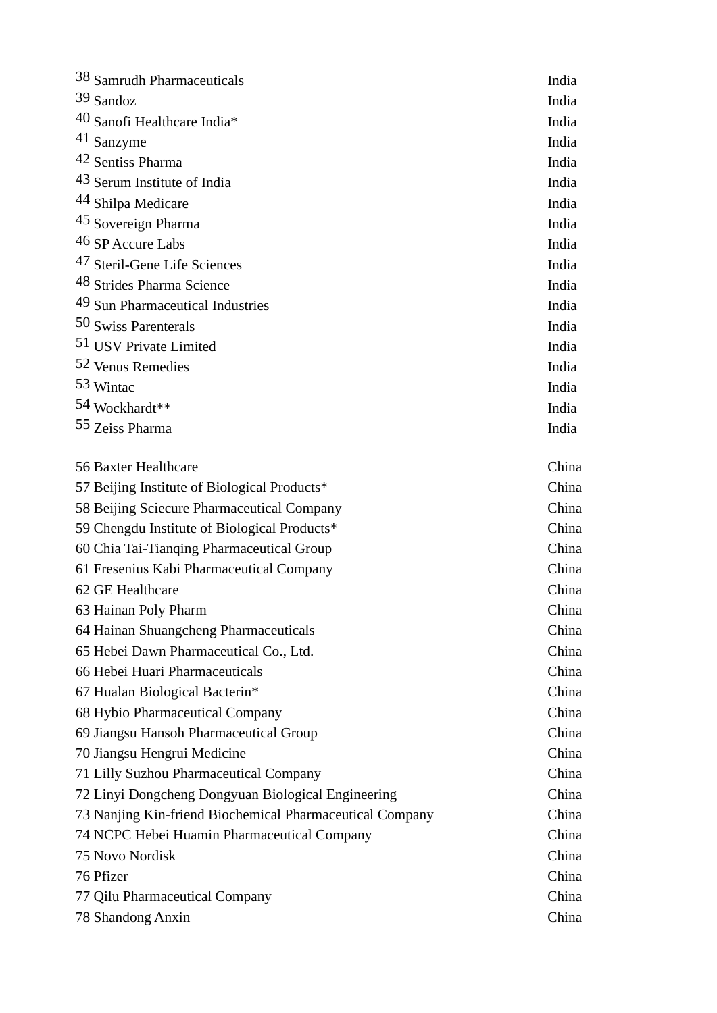| 38 Samrudh Pharmaceuticals                               | India |
|----------------------------------------------------------|-------|
| $39$ Sandoz                                              | India |
| 40 Sanofi Healthcare India*                              | India |
| 41 Sanzyme                                               | India |
| 42 Sentiss Pharma                                        | India |
| 43 Serum Institute of India                              | India |
| 44 Shilpa Medicare                                       | India |
| 45 Sovereign Pharma                                      | India |
| 46 SP Accure Labs                                        | India |
| <sup>47</sup> Steril-Gene Life Sciences                  | India |
| 48 Strides Pharma Science                                | India |
| 49 Sun Pharmaceutical Industries                         | India |
| 50 Swiss Parenterals                                     | India |
| 51 USV Private Limited                                   | India |
| 52 Venus Remedies                                        | India |
| 53 Wintac                                                | India |
| 54 Wockhardt**                                           | India |
| 55 Zeiss Pharma                                          | India |
| 56 Baxter Healthcare                                     | China |
| 57 Beijing Institute of Biological Products*             | China |
| 58 Beijing Sciecure Pharmaceutical Company               | China |
| 59 Chengdu Institute of Biological Products*             | China |
| 60 Chia Tai-Tianqing Pharmaceutical Group                | China |
| 61 Fresenius Kabi Pharmaceutical Company                 | China |
| 62 GE Healthcare                                         | China |
| 63 Hainan Poly Pharm                                     | China |
| 64 Hainan Shuangcheng Pharmaceuticals                    | China |
| 65 Hebei Dawn Pharmaceutical Co., Ltd.                   | China |
| 66 Hebei Huari Pharmaceuticals                           | China |
| 67 Hualan Biological Bacterin*                           | China |
| 68 Hybio Pharmaceutical Company                          | China |
| 69 Jiangsu Hansoh Pharmaceutical Group                   | China |
| 70 Jiangsu Hengrui Medicine                              | China |
| 71 Lilly Suzhou Pharmaceutical Company                   | China |
| 72 Linyi Dongcheng Dongyuan Biological Engineering       | China |
| 73 Nanjing Kin-friend Biochemical Pharmaceutical Company | China |
| 74 NCPC Hebei Huamin Pharmaceutical Company              | China |
| 75 Novo Nordisk                                          | China |
| 76 Pfizer                                                | China |
| 77 Qilu Pharmaceutical Company                           | China |
| 78 Shandong Anxin                                        | China |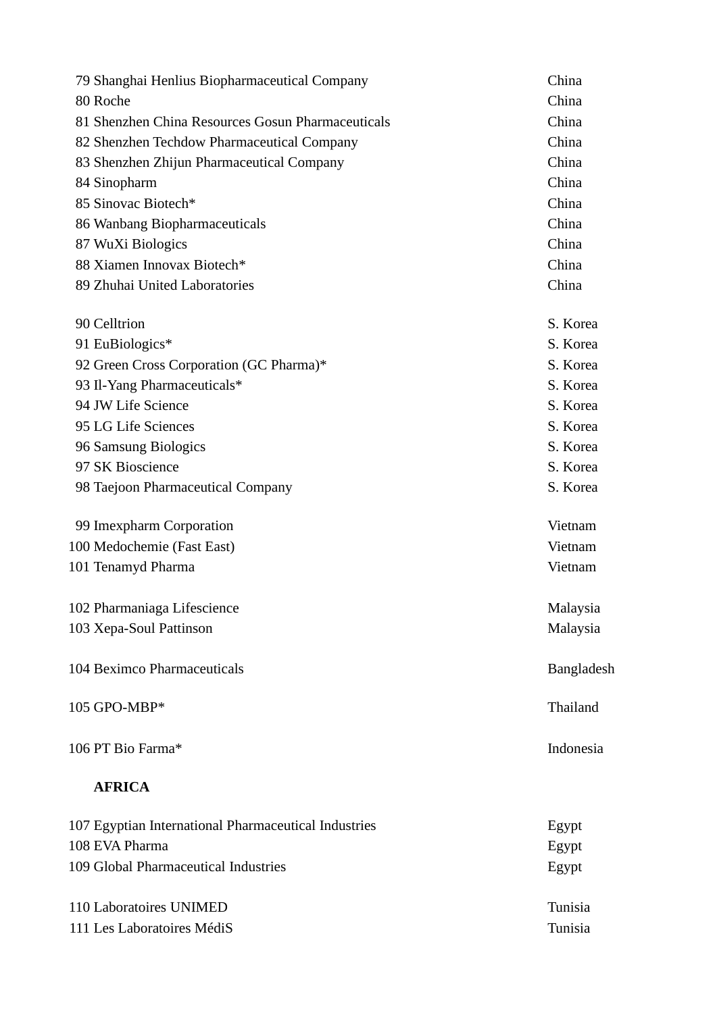| 79 Shanghai Henlius Biopharmaceutical Company     | China      |
|---------------------------------------------------|------------|
| 80 Roche                                          | China      |
| 81 Shenzhen China Resources Gosun Pharmaceuticals | China      |
| 82 Shenzhen Techdow Pharmaceutical Company        | China      |
| 83 Shenzhen Zhijun Pharmaceutical Company         | China      |
| 84 Sinopharm                                      | China      |
| 85 Sinovac Biotech*                               | China      |
| 86 Wanbang Biopharmaceuticals                     | China      |
| 87 WuXi Biologics                                 | China      |
| 88 Xiamen Innovax Biotech*                        | China      |
| 89 Zhuhai United Laboratories                     | China      |
| 90 Celltrion                                      | S. Korea   |
| 91 EuBiologics*                                   | S. Korea   |
| 92 Green Cross Corporation (GC Pharma)*           | S. Korea   |
| 93 Il-Yang Pharmaceuticals*                       | S. Korea   |
| 94 JW Life Science                                | S. Korea   |
| 95 LG Life Sciences                               | S. Korea   |
| 96 Samsung Biologics                              | S. Korea   |
| 97 SK Bioscience                                  | S. Korea   |
| 98 Taejoon Pharmaceutical Company                 | S. Korea   |
| 99 Imexpharm Corporation                          | Vietnam    |
| 100 Medochemie (Fast East)                        | Vietnam    |
| 101 Tenamyd Pharma                                | Vietnam    |
| 102 Pharmaniaga Lifescience                       | Malaysia   |
| 103 Xepa-Soul Pattinson                           | Malaysia   |
| 104 Beximco Pharmaceuticals                       | Bangladesh |
| 105 GPO-MBP*                                      | Thailand   |
| 106 PT Bio Farma*                                 | Indonesia  |
| <b>AFRICA</b>                                     |            |

| 107 Egyptian International Pharmaceutical Industries | Egypt   |
|------------------------------------------------------|---------|
| 108 EVA Pharma                                       | Egypt   |
| 109 Global Pharmaceutical Industries                 | Egypt   |
| 110 Laboratoires UNIMED                              | Tunisia |
| 111 Les Laboratoires MédiS                           | Tunisia |